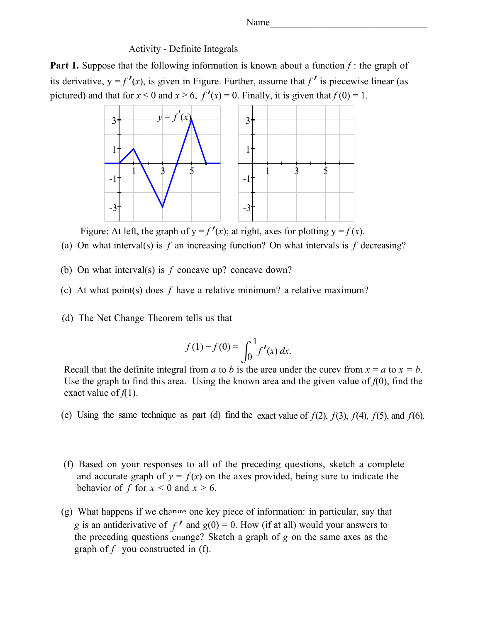Name\_\_\_\_\_\_\_\_\_\_\_\_\_\_\_\_\_\_\_\_\_\_\_\_\_\_\_\_\_\_\_\_

### Activity - Definite Integrals

**Part 1.** Suppose that the following information is known about a function f: the graph of its derivative,  $y = f'(x)$ , is given in Figure. Further, assume that f' is piecewise linear (as pictured) and that for  $x \le 0$  and  $x \ge 6$ ,  $f'(x) = 0$ . Finally, it is given that  $f(0) = 1$ .



Figure: At left, the graph of  $y = f'(x)$ ; at right, axes for plotting  $y = f(x)$ .

- (a) On what interval(s) is  $f$  an increasing function? On what intervals is  $f$  decreasing?
- (b) On what interval(s) is *f* concave up? concave down?
- (c) At what point(s) does *f* have a relative minimum? a relative maximum?
- (d) The Net Change Theorem tells us that

$$
f(1) - f(0) = \int_0^1 f'(x) \, dx.
$$

Recall that the definite integral from *a* to *b* is the area under the curev from  $x = a$  to  $x = b$ . Use the graph to find this area. Using the known area and the given value of  $f(0)$ , find the exact value of  $f(1)$ .

- (e) Using the same technique as part (d) find the exact value of  $f(2)$ ,  $f(3)$ ,  $f(4)$ ,  $f(5)$ , and  $f(6)$ .
- (f) Based on your responses to all of the preceding questions, sketch a complete and accurate graph of  $y = f(x)$  on the axes provided, being sure to indicate the behavior of *f* for  $x < 0$  and  $x > 6$ .
- (g) What happens if we change one key piece of information: in particular, say that *g* is an antiderivative of  $f'$  and  $g(0) = 0$ . How (if at all) would your answers to the preceding questions change? Sketch a graph of *g* on the same axes as the graph of *f* you constructed in (f).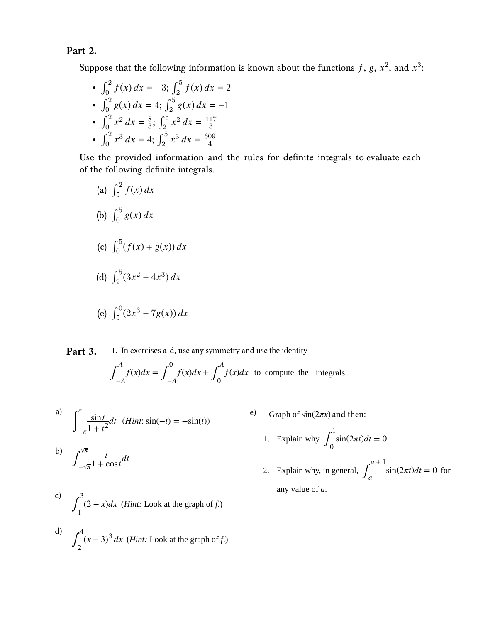## **Part 2.**

Suppose that the following information is known about the functions  $f,$   $g,$   $x^2,$  and  $x^3$ :

• 
$$
\int_0^2 f(x) dx = -3; \int_2^5 f(x) dx = 2
$$
  
\n•  $\int_0^2 g(x) dx = 4; \int_2^5 g(x) dx = -1$   
\n•  $\int_0^2 x^2 dx = \frac{8}{3}; \int_2^5 x^2 dx = \frac{117}{3}$   
\n•  $\int_0^2 x^3 dx = 4; \int_2^5 x^3 dx = \frac{609}{4}$ 

Use the provided information and the rules for definite integrals to evaluate each of the following definite integrals.

(a) 
$$
\int_5^2 f(x) dx
$$
  
\n(b)  $\int_0^5 g(x) dx$   
\n(c)  $\int_0^5 (f(x) + g(x)) dx$   
\n(d)  $\int_2^5 (3x^2 - 4x^3) dx$   
\n(e)  $\int_5^0 (2x^3 - 7g(x)) dx$ 

#### 1. In exercises a-d, use any symmetry and use the identity **Part 3.**

$$
\int_{-A}^{A} f(x)dx = \int_{-A}^{0} f(x)dx + \int_{0}^{A} f(x)dx
$$
 to compute the integrals.

a) 
$$
\int_{-\pi}^{\pi} \frac{\sin t}{1 + t^2} dt \quad (Hint: \sin(-t) = -\sin(t))
$$

e) Graph of sin(2*πx*) and then:

1. Explain why 
$$
\int_0^1 \sin(2\pi t) dt = 0
$$
.

2. Explain why, in general,  $\int_a^b$ *a* + 1  $\sin(2\pi t)dt = 0$  for any value of *a*.

b)  $\int_{-\sqrt{\pi}}^{\sqrt{\pi}}$ *π t*  $\frac{t}{1 + \cos t} dt$ 

c) 
$$
\int_1^3 (2 - x) dx
$$
 (Hint: Look at the graph of f.)

$$
\int_{2}^{4} (x-3)^3 dx
$$
 (*Hint*: Look at the graph of *f*.)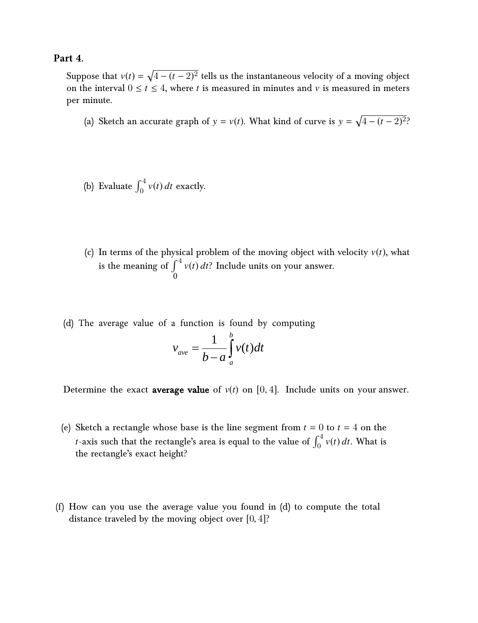### **Part 4.**

Suppose that  $v(t) = \sqrt{4 - (t - 2)^2}$  tells us the instantaneous velocity of a moving object on the interval  $0 \le t \le 4$ , where *t* is measured in minutes and *v* is measured in meters per minute.

- (a) Sketch an accurate graph of  $y = v(t)$ . What kind of curve is  $y = \sqrt{4 (t 2)^2}$ ?
- (b) Evaluate  $\int_0^4 v(t) dt$  exactly.
- (c) In terms of the physical problem of the moving object with velocity  $v(t)$ , what is the meaning of  $\int^4 v(t) dt$ ? Include units on your answer.  $\overline{0}$
- (d) The average value of a function is found by computing

$$
v_{ave} = \frac{1}{b-a} \int_{a}^{b} v(t)dt
$$

Determine the exact **average value** of  $v(t)$  on [0, 4]. Include units on your answer.

- (e) Sketch a rectangle whose base is the line segment from  $t = 0$  to  $t = 4$  on the *t*-axis such that the rectangle's area is equal to the value of  $\int_0^4 v(t) \, dt$ . What is the rectangle's exact height?
- (f) How can you use the average value you found in (d) to compute the total distance traveled by the moving object over  $[0, 4]$ ?